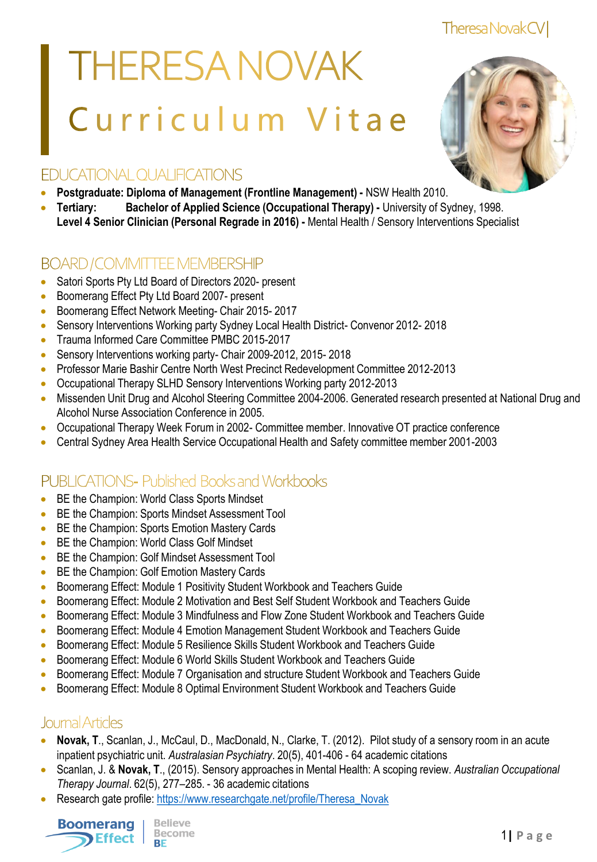Theresa Novak CV

# **THERESA NOVAK** Curriculum Vitae



## **EDUCATIONAL OUALIFICATIONS**

- **Postgraduate: Diploma of Management (Frontline Management) -** NSW Health 2010.
- **Tertiary: Bachelor of Applied Science (Occupational Therapy) -** University of Sydney, 1998. **Level 4 Senior Clinician (Personal Regrade in 2016) -** Mental Health / Sensory Interventions Specialist

## **BOARD/COMMITTEE MEMBERSHIP**

- Satori Sports Pty Ltd Board of Directors 2020- present
- Boomerang Effect Pty Ltd Board 2007- present
- **Boomerang Effect Network Meeting- Chair 2015-2017**
- Sensory Interventions Working party Sydney Local Health District- Convenor 2012- 2018
- **Trauma Informed Care Committee PMBC 2015-2017**
- Sensory Interventions working party- Chair 2009-2012, 2015- 2018
- Professor Marie Bashir Centre North West Precinct Redevelopment Committee 2012-2013
- Occupational Therapy SLHD Sensory Interventions Working party 2012-2013
- Missenden Unit Drug and Alcohol Steering Committee 2004-2006. Generated research presented at National Drug and Alcohol Nurse Association Conference in 2005.
- Occupational Therapy Week Forum in 2002- Committee member. Innovative OT practice conference
- Central Sydney Area Health Service Occupational Health and Safety committee member 2001-2003

# **PUBLICATIONS-Published Books and Workbooks**

- **BE the Champion: World Class Sports Mindset**
- **BE the Champion: Sports Mindset Assessment Tool**
- BE the Champion: Sports Emotion Mastery Cards
- BE the Champion: World Class Golf Mindset
- **BE the Champion: Golf Mindset Assessment Tool**
- **BE the Champion: Golf Emotion Mastery Cards**
- Boomerang Effect: Module 1 Positivity Student Workbook and Teachers Guide
- **Boomerang Effect: Module 2 Motivation and Best Self Student Workbook and Teachers Guide**
- **Boomerang Effect: Module 3 Mindfulness and Flow Zone Student Workbook and Teachers Guide**
- **Boomerang Effect: Module 4 Emotion Management Student Workbook and Teachers Guide**
- **Boomerang Effect: Module 5 Resilience Skills Student Workbook and Teachers Guide**
- **Boomerang Effect: Module 6 World Skills Student Workbook and Teachers Guide**
- Boomerang Effect: Module 7 Organisation and structure Student Workbook and Teachers Guide
- **Boomerang Effect: Module 8 Optimal Environment Student Workbook and Teachers Guide**

## Journal Articles

- **Novak, T**., Scanlan, J., McCaul, D., MacDonald, N., Clarke, T. (2012). Pilot study of a sensory room in an acute inpatient psychiatric unit. *Australasian Psychiatry*. 20(5), 401-406 - 64 academic citations
- Scanlan, J. & **Novak, T**., (2015). Sensory approaches in Mental Health: A scoping review. *Australian Occupational Therapy Journal*. 62(5), 277–285. - 36 academic citations
- Research gate profile: [https://www.researchgate.net/profile/Theresa\\_Novak](https://www.researchgate.net/profile/Theresa_Novak)

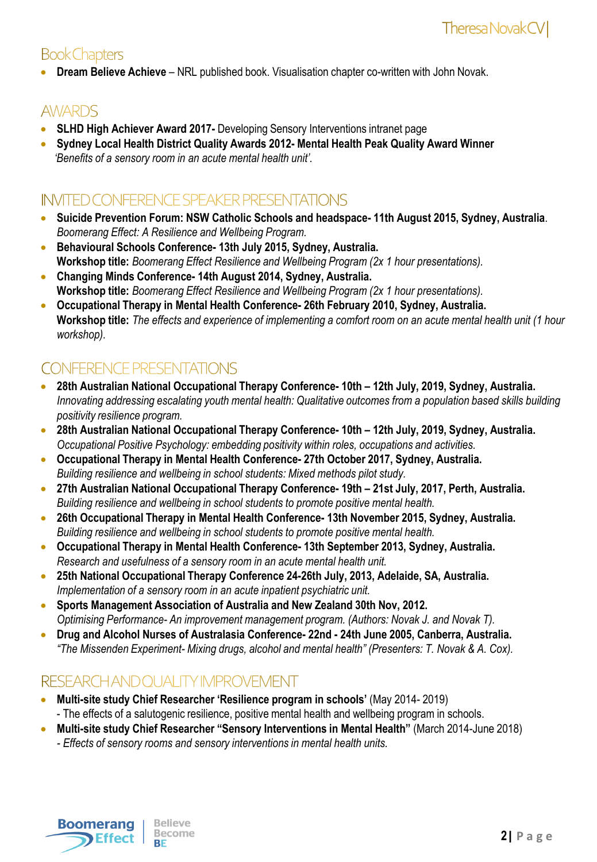# **Book Chapters**

**Dream Believe Achieve - NRL** published book. Visualisation chapter co-written with John Novak.

## **AWARDS**

- **SLHD High Achiever Award 2017-** Developing Sensory Interventions intranet page
- **Sydney Local Health District Quality Awards 2012- Mental Health Peak Quality Award Winner**  *'Benefits of a sensory room in an acute mental health unit'.*

## INVITED CONFERENCE SPEAKER PRESENTATIONS

- **Suicide Prevention Forum: NSW Catholic Schools and headspace- 11th August 2015, Sydney, Australia**. *Boomerang Effect: A Resilience and Wellbeing Program.*
- **Behavioural Schools Conference- 13th July 2015, Sydney, Australia. Workshop title:** *Boomerang Effect Resilience and Wellbeing Program (2x 1 hour presentations).*
- **Changing Minds Conference- 14th August 2014, Sydney, Australia. Workshop title:** *Boomerang Effect Resilience and Wellbeing Program (2x 1 hour presentations).*
- **Occupational Therapy in Mental Health Conference- 26th February 2010, Sydney, Australia. Workshop title:** *The effects and experience of implementing a comfort room on an acute mental health unit (1 hour workshop).*

# **CONFERENCE PRESENTATIONS**

- **28th Australian National Occupational Therapy Conference- 10th – 12th July, 2019, Sydney, Australia.** *Innovating addressing escalating youth mental health: Qualitative outcomes from a population based skills building positivity resilience program.*
- **28th Australian National Occupational Therapy Conference- 10th – 12th July, 2019, Sydney, Australia.** *Occupational Positive Psychology: embedding positivity within roles, occupations and activities.*
- **Occupational Therapy in Mental Health Conference- 27th October 2017, Sydney, Australia.** *Building resilience and wellbeing in school students: Mixed methods pilot study.*
- **27th Australian National Occupational Therapy Conference- 19th – 21st July, 2017, Perth, Australia.** *Building resilience and wellbeing in school students to promote positive mental health.*
- **26th Occupational Therapy in Mental Health Conference- 13th November 2015, Sydney, Australia.** *Building resilience and wellbeing in school students to promote positive mental health.*
- **Occupational Therapy in Mental Health Conference- 13th September 2013, Sydney, Australia.**  *Research and usefulness of a sensory room in an acute mental health unit.*
- **25th National Occupational Therapy Conference 24-26th July, 2013, Adelaide, SA, Australia.** *Implementation of a sensory room in an acute inpatient psychiatric unit.*
- **Sports Management Association of Australia and New Zealand 30th Nov, 2012.** *Optimising Performance- An improvement management program. (Authors: Novak J. and Novak T).*
- **Drug and Alcohol Nurses of Australasia Conference- 22nd - 24th June 2005, Canberra, Australia.** *"The Missenden Experiment- Mixing drugs, alcohol and mental health" (Presenters: T. Novak & A. Cox).*

## RESEARCH AND QUALITY IMPROVEMENT

- **Multi-site study Chief Researcher 'Resilience program in schools'** (May 2014- 2019) - The effects of a salutogenic resilience, positive mental health and wellbeing program in schools.
- **Multi-site study Chief Researcher "Sensory Interventions in Mental Health"** (March 2014-June 2018) *- Effects of sensory rooms and sensory interventions in mental health units.*

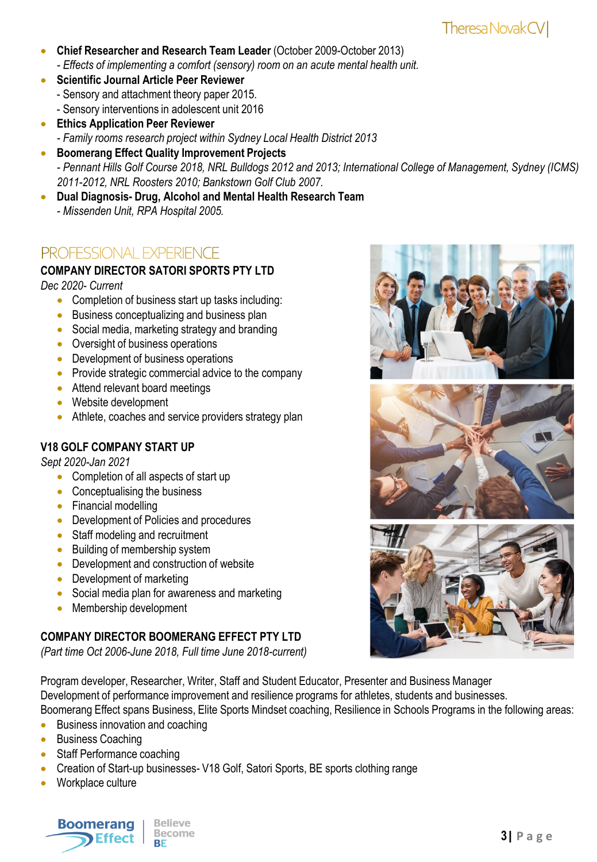- **Chief Researcher and Research Team Leader** (October 2009-October 2013) *- Effects of implementing a comfort (sensory) room on an acute mental health unit.*
- **Scientific Journal Article Peer Reviewer** - Sensory and attachment theory paper 2015. - Sensory interventions in adolescent unit 2016
- **Ethics Application Peer Reviewer**  *- Family rooms research project within Sydney Local Health District 2013*
- **Boomerang Effect Quality Improvement Projects** *- Pennant Hills Golf Course 2018, NRL Bulldogs 2012 and 2013; International College of Management, Sydney (ICMS) 2011-2012, NRL Roosters 2010; Bankstown Golf Club 2007.*
- **Dual Diagnosis- Drug, Alcohol and Mental Health Research Team** *- Missenden Unit, RPA Hospital 2005.*

## **PROFESSIONAL EXPERIENCE**

## **COMPANY DIRECTOR SATORI SPORTS PTY LTD**

*Dec 2020- Current* 

- Completion of business start up tasks including:
- **Business conceptualizing and business plan**
- Social media, marketing strategy and branding
- Oversight of business operations
- Development of business operations
- Provide strategic commercial advice to the company
- Attend relevant board meetings
- Website development
- Athlete, coaches and service providers strategy plan

## **V18 GOLF COMPANY START UP**

*Sept 2020-Jan 2021*

- Completion of all aspects of start up
- Conceptualising the business
- Financial modelling
- Development of Policies and procedures
- Staff modeling and recruitment
- Building of membership system
- Development and construction of website
- Development of marketing
- Social media plan for awareness and marketing
- Membership development

## **COMPANY DIRECTOR BOOMERANG EFFECT PTY LTD**

*(Part time Oct 2006-June 2018, Full time June 2018-current)*

Program developer, Researcher, Writer, Staff and Student Educator, Presenter and Business Manager Development of performance improvement and resilience programs for athletes, students and businesses. Boomerang Effect spans Business, Elite Sports Mindset coaching, Resilience in Schools Programs in the following areas:

- **Business innovation and coaching**
- Business Coaching
- Staff Performance coaching
- Creation of Start-up businesses- V18 Golf, Satori Sports, BE sports clothing range
- Workplace culture









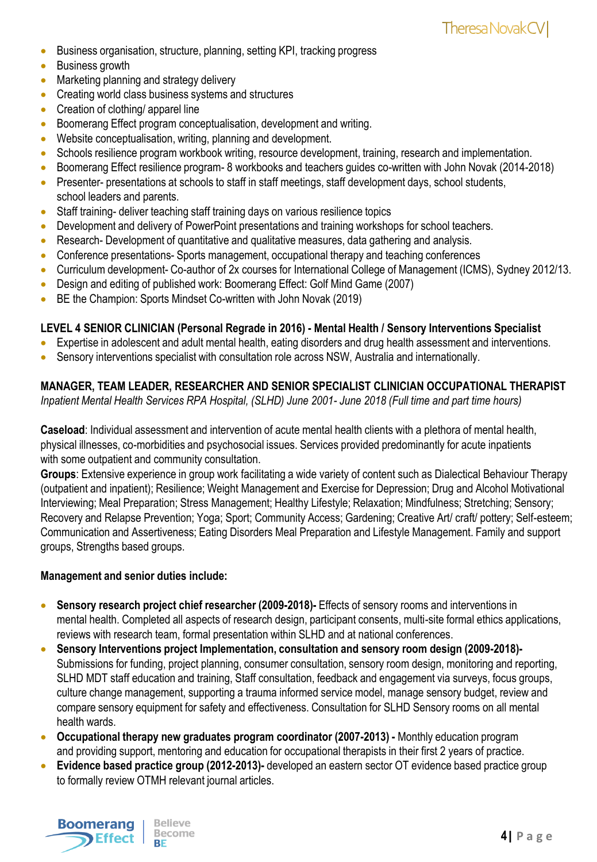- Business organisation, structure, planning, setting KPI, tracking progress
- Business growth
- Marketing planning and strategy delivery
- Creating world class business systems and structures
- Creation of clothing/ apparel line
- Boomerang Effect program conceptualisation, development and writing.
- Website conceptualisation, writing, planning and development.
- Schools resilience program workbook writing, resource development, training, research and implementation.
- Boomerang Effect resilience program- 8 workbooks and teachers guides co-written with John Novak (2014-2018)
- Presenter- presentations at schools to staff in staff meetings, staff development days, school students, school leaders and parents.
- Staff training- deliver teaching staff training days on various resilience topics
- Development and delivery of PowerPoint presentations and training workshops for school teachers.
- Research- Development of quantitative and qualitative measures, data gathering and analysis.
- Conference presentations- Sports management, occupational therapy and teaching conferences
- Curriculum development- Co-author of 2x courses for International College of Management (ICMS), Sydney 2012/13.
- Design and editing of published work: Boomerang Effect: Golf Mind Game (2007)
- BE the Champion: Sports Mindset Co-written with John Novak (2019)

#### **LEVEL 4 SENIOR CLINICIAN (Personal Regrade in 2016) - Mental Health / Sensory Interventions Specialist**

- Expertise in adolescent and adult mental health, eating disorders and drug health assessment and interventions.
- Sensory interventions specialist with consultation role across NSW, Australia and internationally.

#### **MANAGER, TEAM LEADER, RESEARCHER AND SENIOR SPECIALIST CLINICIAN OCCUPATIONAL THERAPIST**

*Inpatient Mental Health Services RPA Hospital, (SLHD) June 2001- June 2018 (Full time and part time hours)*

**Caseload**: Individual assessment and intervention of acute mental health clients with a plethora of mental health, physical illnesses, co-morbidities and psychosocial issues. Services provided predominantly for acute inpatients with some outpatient and community consultation.

**Groups**: Extensive experience in group work facilitating a wide variety of content such as Dialectical Behaviour Therapy (outpatient and inpatient); Resilience; Weight Management and Exercise for Depression; Drug and Alcohol Motivational Interviewing; Meal Preparation; Stress Management; Healthy Lifestyle; Relaxation; Mindfulness; Stretching; Sensory; Recovery and Relapse Prevention; Yoga; Sport; Community Access; Gardening; Creative Art/ craft/ pottery; Self-esteem; Communication and Assertiveness; Eating Disorders Meal Preparation and Lifestyle Management. Family and support groups, Strengths based groups.

#### **Management and senior duties include:**

- **Sensory research project chief researcher (2009-2018)-** Effects of sensory rooms and interventions in mental health. Completed all aspects of research design, participant consents, multi-site formal ethics applications, reviews with research team, formal presentation within SLHD and at national conferences.
- **Sensory Interventions project Implementation, consultation and sensory room design (2009-2018)-** Submissions for funding, project planning, consumer consultation, sensory room design, monitoring and reporting, SLHD MDT staff education and training, Staff consultation, feedback and engagement via surveys, focus groups, culture change management, supporting a trauma informed service model, manage sensory budget, review and compare sensory equipment for safety and effectiveness. Consultation for SLHD Sensory rooms on all mental health wards.
- **Occupational therapy new graduates program coordinator (2007-2013) -** Monthly education program and providing support, mentoring and education for occupational therapists in their first 2 years of practice.
- **Evidence based practice group (2012-2013)-** developed an eastern sector OT evidence based practice group to formally review OTMH relevant journal articles.

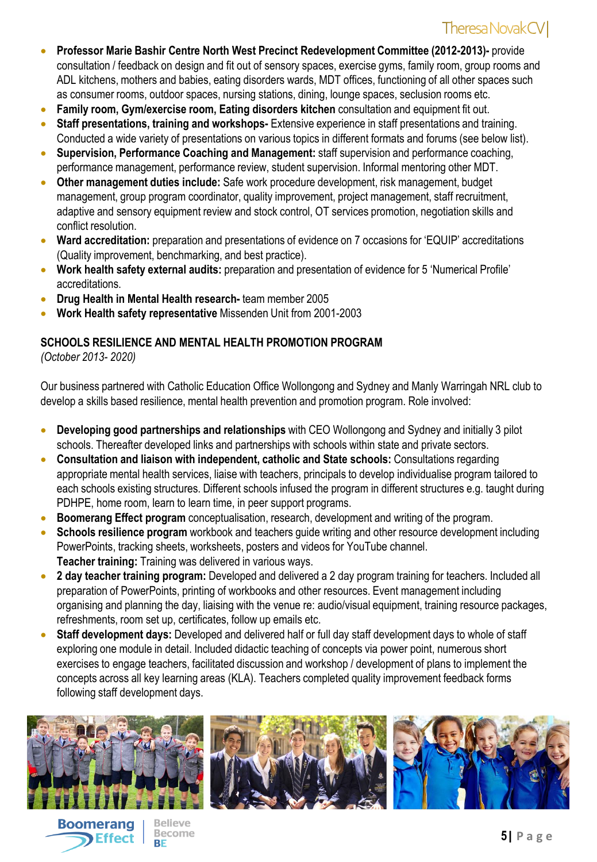- **Professor Marie Bashir Centre North West Precinct Redevelopment Committee (2012-2013)-** provide consultation / feedback on design and fit out of sensory spaces, exercise gyms, family room, group rooms and ADL kitchens, mothers and babies, eating disorders wards, MDT offices, functioning of all other spaces such as consumer rooms, outdoor spaces, nursing stations, dining, lounge spaces, seclusion rooms etc.
- **Family room, Gym/exercise room, Eating disorders kitchen** consultation and equipment fit out.
- **Staff presentations, training and workshops-** Extensive experience in staff presentations and training. Conducted a wide variety of presentations on various topics in different formats and forums (see below list).
- **Supervision, Performance Coaching and Management:** staff supervision and performance coaching, performance management, performance review, student supervision. Informal mentoring other MDT.
- **Other management duties include:** Safe work procedure development, risk management, budget management, group program coordinator, quality improvement, project management, staff recruitment, adaptive and sensory equipment review and stock control, OT services promotion, negotiation skills and conflict resolution.
- **Ward accreditation:** preparation and presentations of evidence on 7 occasions for 'EQUIP' accreditations (Quality improvement, benchmarking, and best practice).
- **Work health safety external audits:** preparation and presentation of evidence for 5 'Numerical Profile' accreditations.
- **Drug Health in Mental Health research-** team member 2005
- **Work Health safety representative** Missenden Unit from 2001-2003

#### **SCHOOLS RESILIENCE AND MENTAL HEALTH PROMOTION PROGRAM**

*(October 2013- 2020)*

Our business partnered with Catholic Education Office Wollongong and Sydney and Manly Warringah NRL club to develop a skills based resilience, mental health prevention and promotion program. Role involved:

- **Developing good partnerships and relationships** with CEO Wollongong and Sydney and initially 3 pilot schools. Thereafter developed links and partnerships with schools within state and private sectors.
- **Consultation and liaison with independent, catholic and State schools:** Consultations regarding appropriate mental health services, liaise with teachers, principals to develop individualise program tailored to each schools existing structures. Different schools infused the program in different structures e.g. taught during PDHPE, home room, learn to learn time, in peer support programs.
- **Boomerang Effect program** conceptualisation, research, development and writing of the program.
- **Schools resilience program** workbook and teachers guide writing and other resource development including PowerPoints, tracking sheets, worksheets, posters and videos for YouTube channel. **Teacher training:** Training was delivered in various ways.
- **2 day teacher training program:** Developed and delivered a 2 day program training for teachers. Included all preparation of PowerPoints, printing of workbooks and other resources. Event management including organising and planning the day, liaising with the venue re: audio/visual equipment, training resource packages, refreshments, room set up, certificates, follow up emails etc.
- **Staff development days:** Developed and delivered half or full day staff development days to whole of staff exploring one module in detail. Included didactic teaching of concepts via power point, numerous short exercises to engage teachers, facilitated discussion and workshop / development of plans to implement the concepts across all key learning areas (KLA). Teachers completed quality improvement feedback forms following staff development days.





**Believe Become**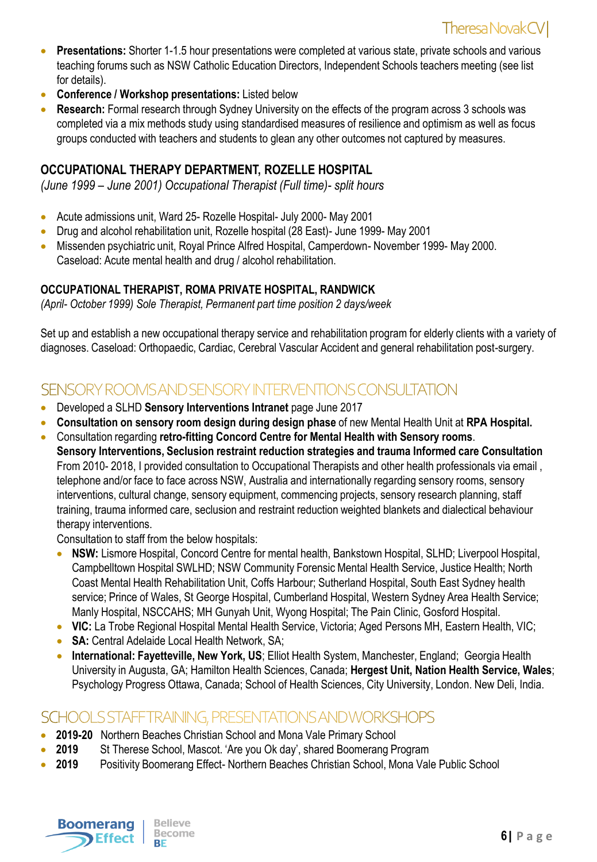- **Presentations:** Shorter 1-1.5 hour presentations were completed at various state, private schools and various teaching forums such as NSW Catholic Education Directors, Independent Schools teachers meeting (see list for details).
- **Conference / Workshop presentations:** Listed below
- **Research:** Formal research through Sydney University on the effects of the program across 3 schools was completed via a mix methods study using standardised measures of resilience and optimism as well as focus groups conducted with teachers and students to glean any other outcomes not captured by measures.

#### **OCCUPATIONAL THERAPY DEPARTMENT, ROZELLE HOSPITAL**

*(June 1999 – June 2001) Occupational Therapist (Full time)- split hours*

- Acute admissions unit, Ward 25- Rozelle Hospital- July 2000- May 2001
- Drug and alcohol rehabilitation unit, Rozelle hospital (28 East)- June 1999- May 2001
- Missenden psychiatric unit, Royal Prince Alfred Hospital, Camperdown- November 1999- May 2000. Caseload: Acute mental health and drug / alcohol rehabilitation.

#### **OCCUPATIONAL THERAPIST, ROMA PRIVATE HOSPITAL, RANDWICK**

*(April- October 1999) Sole Therapist, Permanent part time position 2 days/week*

Set up and establish a new occupational therapy service and rehabilitation program for elderly clients with a variety of diagnoses. Caseload: Orthopaedic, Cardiac, Cerebral Vascular Accident and general rehabilitation post-surgery.

## SENSORY ROOMS AND SENSORY INTERVENTIONS CONSULTATION

- **•** Developed a SLHD **Sensory Interventions Intranet** page June 2017
- **Consultation on sensory room design during design phase** of new Mental Health Unit at **RPA Hospital.**
- Consultation regarding **retro-fitting Concord Centre for Mental Health with Sensory rooms**. **Sensory Interventions, Seclusion restraint reduction strategies and trauma Informed care Consultation** From 2010- 2018, I provided consultation to Occupational Therapists and other health professionals via email , telephone and/or face to face across NSW, Australia and internationally regarding sensory rooms, sensory interventions, cultural change, sensory equipment, commencing projects, sensory research planning, staff training, trauma informed care, seclusion and restraint reduction weighted blankets and dialectical behaviour therapy interventions.

Consultation to staff from the below hospitals:

- **NSW:** Lismore Hospital, Concord Centre for mental health, Bankstown Hospital, SLHD; Liverpool Hospital, Campbelltown Hospital SWLHD; NSW Community Forensic Mental Health Service, Justice Health; North Coast Mental Health Rehabilitation Unit, Coffs Harbour; Sutherland Hospital, South East Sydney health service; Prince of Wales, St George Hospital, Cumberland Hospital, Western Sydney Area Health Service; Manly Hospital, NSCCAHS; MH Gunyah Unit, Wyong Hospital; The Pain Clinic, Gosford Hospital.
- **VIC:** La Trobe Regional Hospital Mental Health Service, Victoria; Aged Persons MH, Eastern Health, VIC;
- **SA:** Central Adelaide Local Health Network, SA;
- **International: Fayetteville, New York, US**; Elliot Health System, Manchester, England; Georgia Health University in Augusta, GA; Hamilton Health Sciences, Canada; **Hergest Unit, Nation Health Service, Wales**; Psychology Progress Ottawa, Canada; School of Health Sciences, City University, London. New Deli, India.

## SCHOOLS STAFFTRAINING, PRESENTATIONS AND WORKSHOPS

- **2019-20** Northern Beaches Christian School and Mona Vale Primary School
- **2019** St Therese School, Mascot. 'Are you Ok day', shared Boomerang Program
- **2019** Positivity Boomerang Effect- Northern Beaches Christian School, Mona Vale Public School

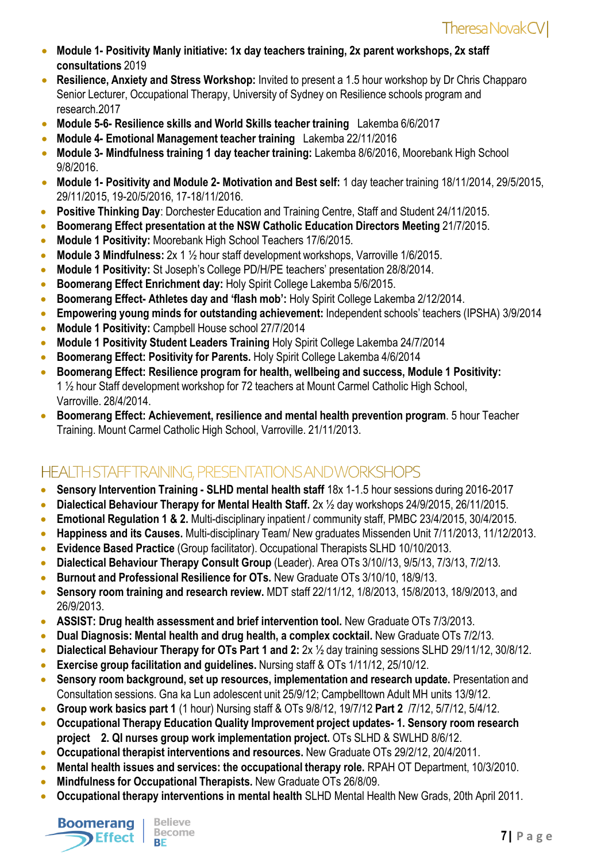- **Module 1- Positivity Manly initiative: 1x day teachers training, 2x parent workshops, 2x staff consultations** 2019
- **Resilience, Anxiety and Stress Workshop:** Invited to present a 1.5 hour workshop by Dr Chris Chapparo Senior Lecturer, Occupational Therapy, University of Sydney on Resilience schools program and research.2017
- **Module 5-6- Resilience skills and World Skills teacher training** Lakemba 6/6/2017
- **Module 4- Emotional Management teacher training** Lakemba 22/11/2016
- **Module 3- Mindfulness training 1 day teacher training:** Lakemba 8/6/2016, Moorebank High School 9/8/2016.
- **Module 1- Positivity and Module 2- Motivation and Best self:** 1 day teacher training 18/11/2014, 29/5/2015, 29/11/2015, 19-20/5/2016, 17-18/11/2016.
- **Positive Thinking Day**: Dorchester Education and Training Centre, Staff and Student 24/11/2015.
- **Boomerang Effect presentation at the NSW Catholic Education Directors Meeting 21/7/2015.**
- **Module 1 Positivity:** Moorebank High School Teachers 17/6/2015.
- **Module 3 Mindfulness:** 2x 1 ½ hour staff development workshops, Varroville 1/6/2015.
- **Module 1 Positivity:** St Joseph's College PD/H/PE teachers' presentation 28/8/2014.
- **Boomerang Effect Enrichment day:** Holy Spirit College Lakemba 5/6/2015.
- **Boomerang Effect- Athletes day and 'flash mob':** Holy Spirit College Lakemba 2/12/2014.
- **Empowering young minds for outstanding achievement:** Independent schools' teachers (IPSHA) 3/9/2014
- **Module 1 Positivity:** Campbell House school 27/7/2014
- **Module 1 Positivity Student Leaders Training** Holy Spirit College Lakemba 24/7/2014
- **Boomerang Effect: Positivity for Parents. Holy Spirit College Lakemba 4/6/2014**
- **Boomerang Effect: Resilience program for health, wellbeing and success, Module 1 Positivity:** 1 ½ hour Staff development workshop for 72 teachers at Mount Carmel Catholic High School, Varroville. 28/4/2014.
- **Boomerang Effect: Achievement, resilience and mental health prevention program**. 5 hour Teacher Training. Mount Carmel Catholic High School, Varroville. 21/11/2013.

# HEALTH STAFFTRAINING, PRESENTATIONS AND WORKSHOPS

- **Sensory Intervention Training - SLHD mental health staff** 18x 1-1.5 hour sessions during 2016-2017
- **Dialectical Behaviour Therapy for Mental Health Staff.** 2x ½ day workshops 24/9/2015, 26/11/2015.
- **Emotional Regulation 1 & 2.** Multi-disciplinary inpatient / community staff, PMBC 23/4/2015, 30/4/2015.
- **Happiness and its Causes.** Multi-disciplinary Team/ New graduates Missenden Unit 7/11/2013, 11/12/2013.
- **Evidence Based Practice** (Group facilitator). Occupational Therapists SLHD 10/10/2013.
- **Dialectical Behaviour Therapy Consult Group** (Leader). Area OTs 3/10//13, 9/5/13, 7/3/13, 7/2/13.
- **Burnout and Professional Resilience for OTs. New Graduate OTs 3/10/10, 18/9/13.**
- **Sensory room training and research review.** MDT staff 22/11/12, 1/8/2013, 15/8/2013, 18/9/2013, and 26/9/2013.
- **ASSIST: Drug health assessment and brief intervention tool. New Graduate OTs 7/3/2013.**
- **Dual Diagnosis: Mental health and drug health, a complex cocktail. New Graduate OTs 7/2/13.**
- **Dialectical Behaviour Therapy for OTs Part 1 and 2:** 2x ½ day training sessions SLHD 29/11/12, 30/8/12.
- **Exercise group facilitation and guidelines.** Nursing staff & OTs 1/11/12, 25/10/12.
- **Sensory room background, set up resources, implementation and research update.** Presentation and Consultation sessions. Gna ka Lun adolescent unit 25/9/12; Campbelltown Adult MH units 13/9/12.
- **Group work basics part 1** (1 hour) Nursing staff & OTs 9/8/12, 19/7/12 **Part 2** /7/12, 5/7/12, 5/4/12.
- **Occupational Therapy Education Quality Improvement project updates- 1. Sensory room research project 2. QI nurses group work implementation project.** OTs SLHD & SWLHD 8/6/12.
- **Occupational therapist interventions and resources.** New Graduate OTs 29/2/12, 20/4/2011.
- **Mental health issues and services: the occupational therapy role. RPAH OT Department, 10/3/2010.**
- **Mindfulness for Occupational Therapists.** New Graduate OTs 26/8/09.
- **Occupational therapy interventions in mental health SLHD Mental Health New Grads, 20th April 2011.**